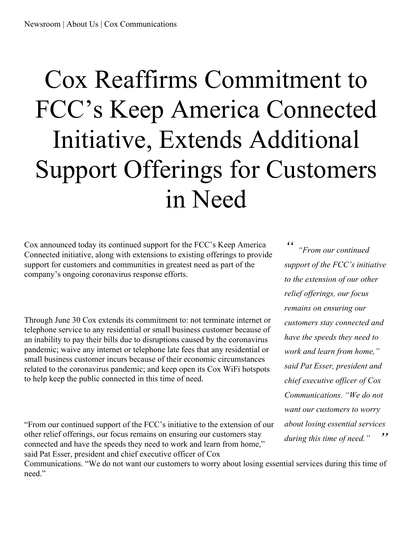## Cox Reaffirms Commitment to FCC's Keep America Connected Initiative, Extends Additional Support Offerings for Customers in Need

Cox announced today its continued support for the FCC's Keep America Connected initiative, along with extensions to existing offerings to provide support for customers and communities in greatest need as part of the company's ongoing coronavirus response efforts.

Through June 30 Cox extends its commitment to: not terminate internet or telephone service to any residential or small business customer because of an inability to pay their bills due to disruptions caused by the coronavirus pandemic; waive any internet or telephone late fees that any residential or small business customer incurs because of their economic circumstances related to the coronavirus pandemic; and keep open its Cox WiFi hotspots to help keep the public connected in this time of need.

"From our continued support of the FCC's initiative to the extension of our other relief offerings, our focus remains on ensuring our customers stay connected and have the speeds they need to work and learn from home," said Pat Esser, president and chief executive officer of Cox

Communications. "We do not want our customers to worry about losing essential services during this time of need."

 $'$ *" "From our continued support of the FCC's initiative to the extension of our other relief of erings, our focus remains on ensuring our customers stay connected and have the speeds they need to work and learn from home," said Pat Esser, president and chief executive of icer of Cox Communications. "We do not want our customers to worry about losing essential services during this time of need."*